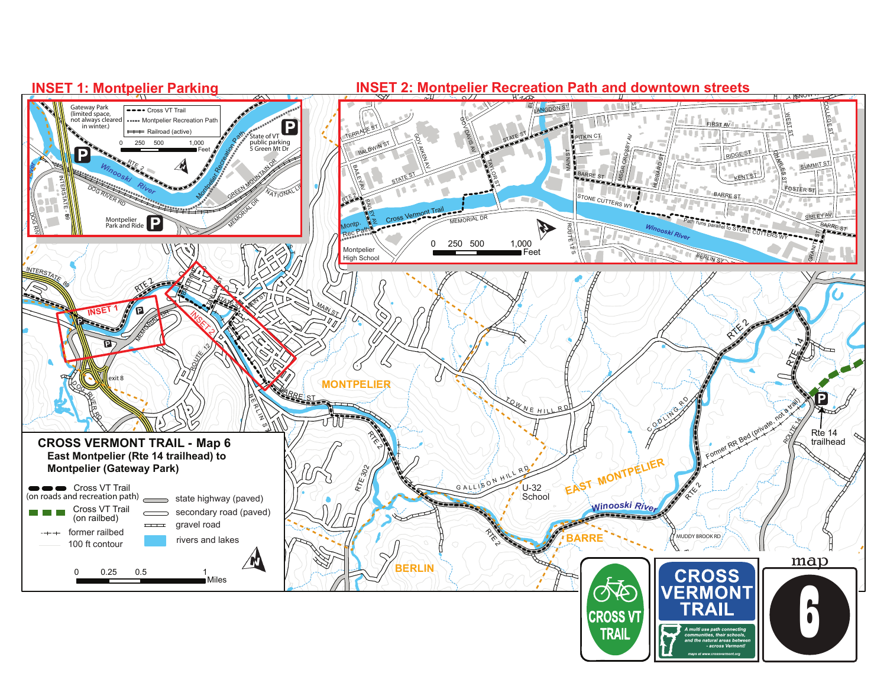## **INSET 1: Montpelier Parking**

## **A R R CO R R CONTROLLER INSET 2: Montpelier Recreation Path and downtown streets**